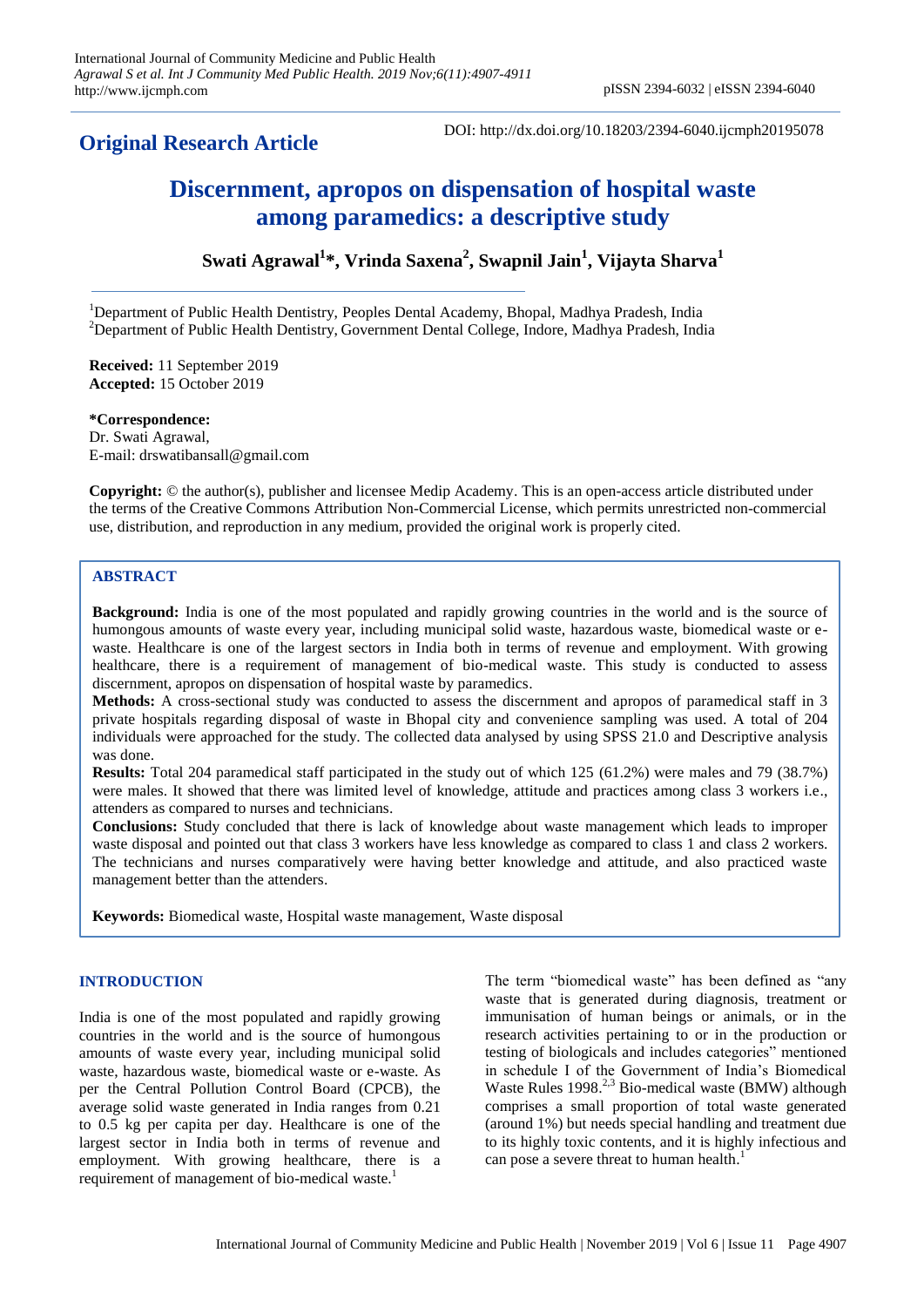# **Original Research Article**

DOI: http://dx.doi.org/10.18203/2394-6040.ijcmph20195078

# **Discernment, apropos on dispensation of hospital waste among paramedics: a descriptive study**

**Swati Agrawal<sup>1</sup> \*, Vrinda Saxena<sup>2</sup> , Swapnil Jain<sup>1</sup> , Vijayta Sharva<sup>1</sup>**

<sup>1</sup>Department of Public Health Dentistry, Peoples Dental Academy, Bhopal, Madhya Pradesh, India <sup>2</sup>Department of Public Health Dentistry, Government Dental College, Indore, Madhya Pradesh, India

**Received:** 11 September 2019 **Accepted:** 15 October 2019

**\*Correspondence:** Dr. Swati Agrawal, E-mail: drswatibansall@gmail.com

**Copyright:** © the author(s), publisher and licensee Medip Academy. This is an open-access article distributed under the terms of the Creative Commons Attribution Non-Commercial License, which permits unrestricted non-commercial use, distribution, and reproduction in any medium, provided the original work is properly cited.

# **ABSTRACT**

**Background:** India is one of the most populated and rapidly growing countries in the world and is the source of humongous amounts of waste every year, including municipal solid waste, hazardous waste, biomedical waste or ewaste. Healthcare is one of the largest sectors in India both in terms of revenue and employment. With growing healthcare, there is a requirement of management of bio-medical waste. This study is conducted to assess discernment, apropos on dispensation of hospital waste by paramedics.

**Methods:** A cross-sectional study was conducted to assess the discernment and apropos of paramedical staff in 3 private hospitals regarding disposal of waste in Bhopal city and convenience sampling was used. A total of 204 individuals were approached for the study. The collected data analysed by using SPSS 21.0 and Descriptive analysis was done.

**Results:** Total 204 paramedical staff participated in the study out of which 125 (61.2%) were males and 79 (38.7%) were males. It showed that there was limited level of knowledge, attitude and practices among class 3 workers i.e., attenders as compared to nurses and technicians.

**Conclusions:** Study concluded that there is lack of knowledge about waste management which leads to improper waste disposal and pointed out that class 3 workers have less knowledge as compared to class 1 and class 2 workers. The technicians and nurses comparatively were having better knowledge and attitude, and also practiced waste management better than the attenders.

**Keywords:** Biomedical waste, Hospital waste management, Waste disposal

# **INTRODUCTION**

India is one of the most populated and rapidly growing countries in the world and is the source of humongous amounts of waste every year, including municipal solid waste, hazardous waste, biomedical waste or e-waste. As per the Central Pollution Control Board (CPCB), the average solid waste generated in India ranges from 0.21 to 0.5 kg per capita per day. Healthcare is one of the largest sector in India both in terms of revenue and employment. With growing healthcare, there is a requirement of management of bio-medical waste.<sup>1</sup>

The term "biomedical waste" has been defined as "any waste that is generated during diagnosis, treatment or immunisation of human beings or animals, or in the research activities pertaining to or in the production or testing of biologicals and includes categories" mentioned in schedule I of the Government of India's Biomedical Waste Rules  $1998.<sup>2,3</sup>$  Bio-medical waste (BMW) although comprises a small proportion of total waste generated (around 1%) but needs special handling and treatment due to its highly toxic contents, and it is highly infectious and can pose a severe threat to human health.<sup>1</sup>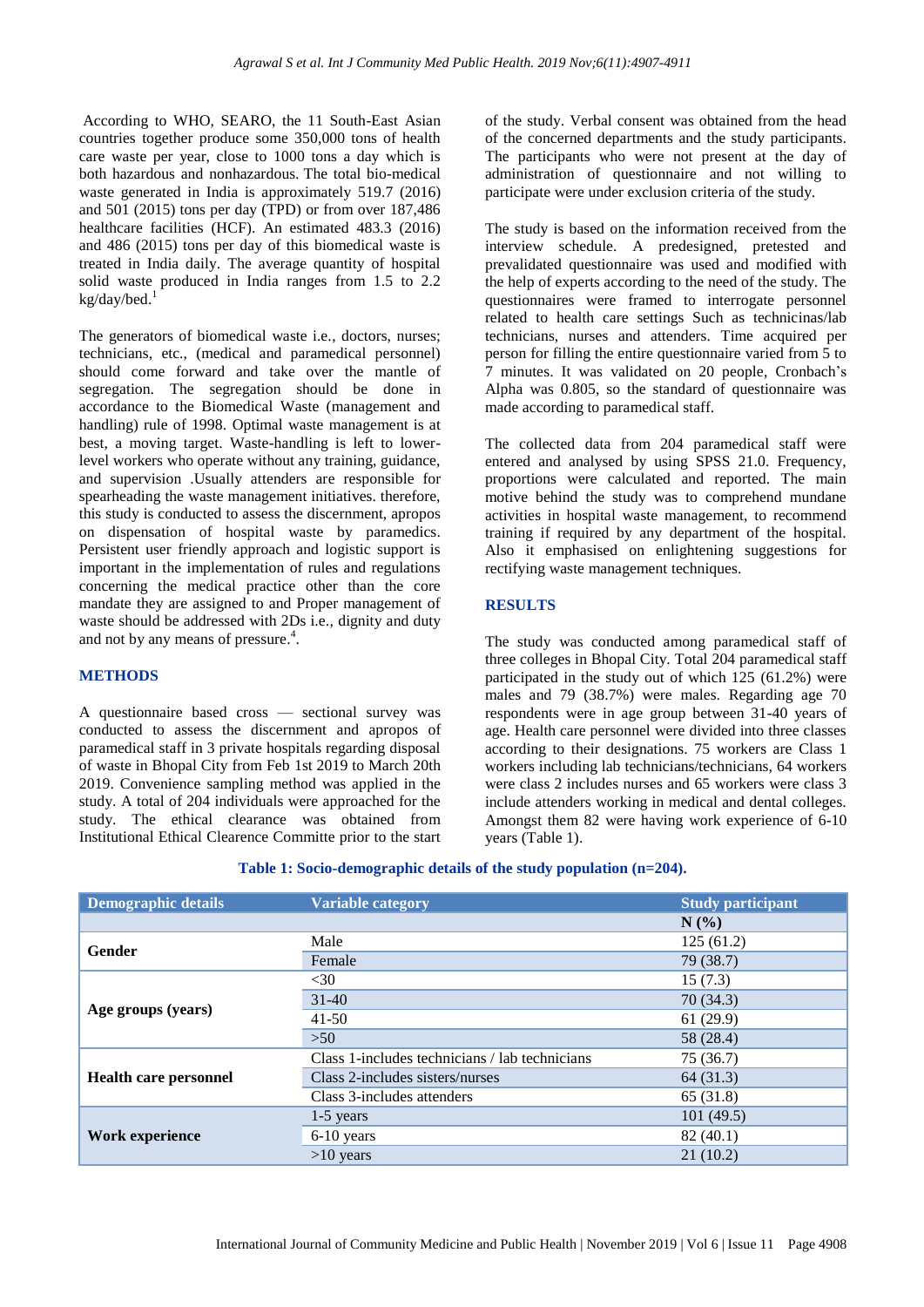According to WHO, SEARO, the 11 South-East Asian countries together produce some 350,000 tons of health care waste per year, close to 1000 tons a day which is both hazardous and nonhazardous. The total bio-medical waste generated in India is approximately 519.7 (2016) and 501 (2015) tons per day (TPD) or from over 187,486 healthcare facilities (HCF). An estimated 483.3 (2016) and 486 (2015) tons per day of this biomedical waste is treated in India daily. The average quantity of hospital solid waste produced in India ranges from 1.5 to 2.2 kg/day/bed.<sup>1</sup>

The generators of biomedical waste i.e., doctors, nurses; technicians, etc., (medical and paramedical personnel) should come forward and take over the mantle of segregation. The segregation should be done in accordance to the Biomedical Waste (management and handling) rule of 1998. Optimal waste management is at best, a moving target. Waste-handling is left to lowerlevel workers who operate without any training, guidance, and supervision .Usually attenders are responsible for spearheading the waste management initiatives. therefore, this study is conducted to assess the discernment, apropos on dispensation of hospital waste by paramedics. Persistent user friendly approach and logistic support is important in the implementation of rules and regulations concerning the medical practice other than the core mandate they are assigned to and Proper management of waste should be addressed with 2Ds i.e., dignity and duty and not by any means of pressure.<sup>4</sup>.

## **METHODS**

A questionnaire based cross — sectional survey was conducted to assess the discernment and apropos of paramedical staff in 3 private hospitals regarding disposal of waste in Bhopal City from Feb 1st 2019 to March 20th 2019. Convenience sampling method was applied in the study. A total of 204 individuals were approached for the study. The ethical clearance was obtained from Institutional Ethical Clearence Committe prior to the start

of the study. Verbal consent was obtained from the head of the concerned departments and the study participants. The participants who were not present at the day of administration of questionnaire and not willing to participate were under exclusion criteria of the study.

The study is based on the information received from the interview schedule. A predesigned, pretested and prevalidated questionnaire was used and modified with the help of experts according to the need of the study. The questionnaires were framed to interrogate personnel related to health care settings Such as technicinas/lab technicians, nurses and attenders. Time acquired per person for filling the entire questionnaire varied from 5 to 7 minutes. It was validated on 20 people, Cronbach's Alpha was 0.805, so the standard of questionnaire was made according to paramedical staff.

The collected data from 204 paramedical staff were entered and analysed by using SPSS 21.0. Frequency, proportions were calculated and reported. The main motive behind the study was to comprehend mundane activities in hospital waste management, to recommend training if required by any department of the hospital. Also it emphasised on enlightening suggestions for rectifying waste management techniques.

#### **RESULTS**

The study was conducted among paramedical staff of three colleges in Bhopal City. Total 204 paramedical staff participated in the study out of which 125 (61.2%) were males and 79 (38.7%) were males. Regarding age 70 respondents were in age group between 31-40 years of age. Health care personnel were divided into three classes according to their designations. 75 workers are Class 1 workers including lab technicians/technicians, 64 workers were class 2 includes nurses and 65 workers were class 3 include attenders working in medical and dental colleges. Amongst them 82 were having work experience of 6-10 years (Table 1).

| Table 1: Socio-demographic details of the study population (n=204). |
|---------------------------------------------------------------------|
|---------------------------------------------------------------------|

| <b>Demographic details</b>   | <b>Variable category</b>                       | <b>Study participant</b> |  |
|------------------------------|------------------------------------------------|--------------------------|--|
|                              |                                                | $N(\%)$                  |  |
| Gender                       | Male                                           | 125(61.2)                |  |
|                              | Female                                         | 79 (38.7)                |  |
| Age groups (years)           | $<$ 30                                         | 15(7.3)                  |  |
|                              | $31-40$                                        | 70(34.3)                 |  |
|                              | $41-50$                                        | 61(29.9)                 |  |
|                              | $>50$                                          | 58 (28.4)                |  |
| <b>Health care personnel</b> | Class 1-includes technicians / lab technicians | 75 (36.7)                |  |
|                              | Class 2-includes sisters/nurses                | 64(31.3)                 |  |
|                              | Class 3-includes attenders                     | 65 (31.8)                |  |
| <b>Work experience</b>       | $1-5$ years                                    | 101(49.5)                |  |
|                              | 6-10 years                                     | 82(40.1)                 |  |
|                              | $>10$ years                                    | 21(10.2)                 |  |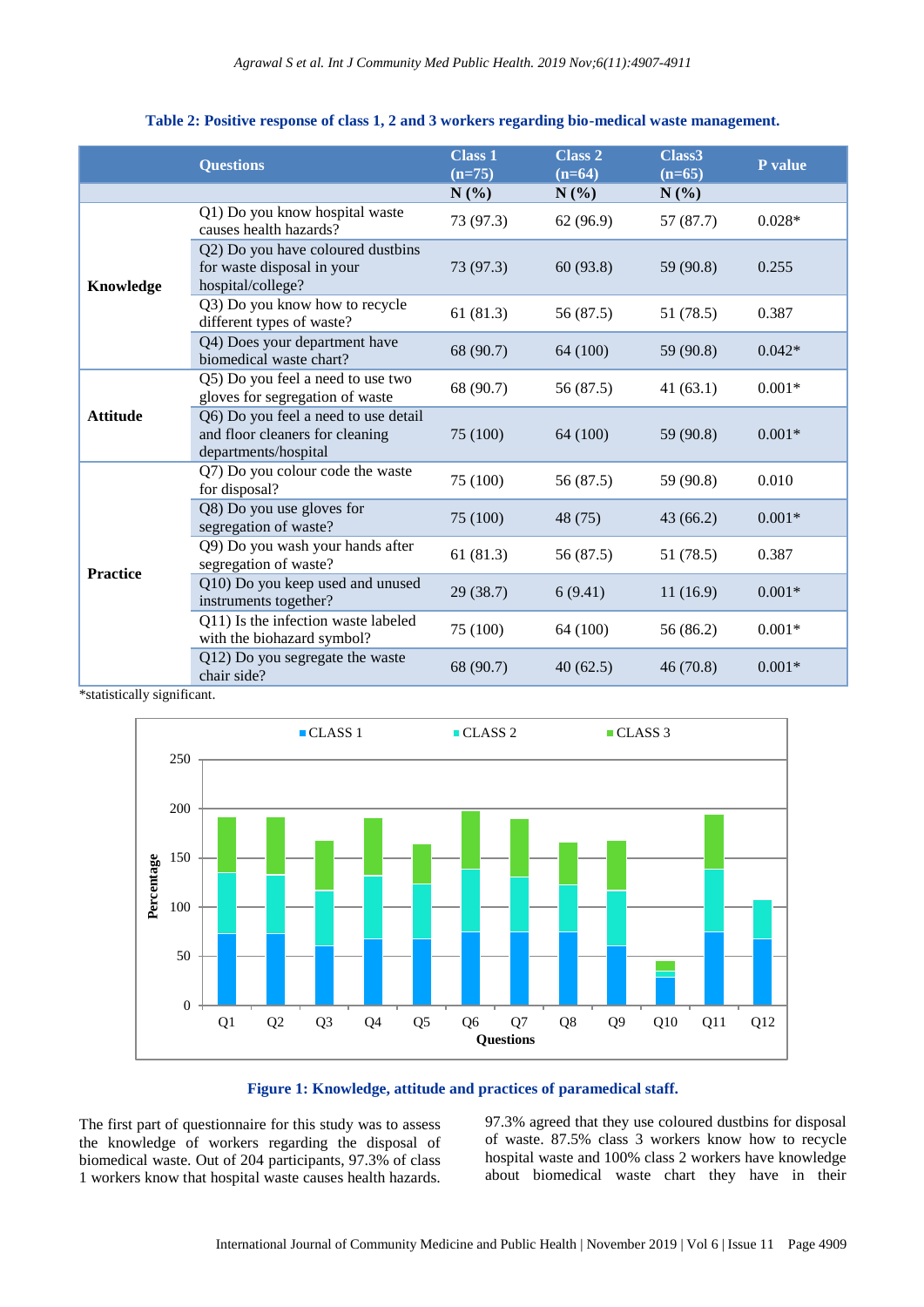|                 | <b>Questions</b>                                                                                | <b>Class 1</b><br>$(n=75)$ | <b>Class 2</b><br>$(n=64)$ | Class <sub>3</sub><br>$(n=65)$ | P value  |
|-----------------|-------------------------------------------------------------------------------------------------|----------------------------|----------------------------|--------------------------------|----------|
|                 |                                                                                                 | $N(\%)$                    | $N(\%)$                    | $N(\%)$                        |          |
| Knowledge       | Q1) Do you know hospital waste<br>causes health hazards?                                        | 73 (97.3)                  | 62(96.9)                   | 57 (87.7)                      | $0.028*$ |
|                 | Q2) Do you have coloured dustbins<br>for waste disposal in your<br>hospital/college?            | 73 (97.3)                  | 60(93.8)                   | 59 (90.8)                      | 0.255    |
|                 | Q3) Do you know how to recycle<br>different types of waste?                                     | 61(81.3)                   | 56 (87.5)                  | 51 (78.5)                      | 0.387    |
|                 | Q4) Does your department have<br>biomedical waste chart?                                        | 68 (90.7)                  | 64 (100)                   | 59 (90.8)                      | $0.042*$ |
| <b>Attitude</b> | Q5) Do you feel a need to use two<br>gloves for segregation of waste                            | 68 (90.7)                  | 56 (87.5)                  | 41(63.1)                       | $0.001*$ |
|                 | Q6) Do you feel a need to use detail<br>and floor cleaners for cleaning<br>departments/hospital | 75 (100)                   | 64 (100)                   | 59 (90.8)                      | $0.001*$ |
| <b>Practice</b> | Q7) Do you colour code the waste<br>for disposal?                                               | 75 (100)                   | 56 (87.5)                  | 59 (90.8)                      | 0.010    |
|                 | Q8) Do you use gloves for<br>segregation of waste?                                              | 75 (100)                   | 48 (75)                    | 43(66.2)                       | $0.001*$ |
|                 | Q9) Do you wash your hands after<br>segregation of waste?                                       | 61(81.3)                   | 56 (87.5)                  | 51 (78.5)                      | 0.387    |
|                 | Q10) Do you keep used and unused<br>instruments together?                                       | 29(38.7)                   | 6(9.41)                    | 11(16.9)                       | $0.001*$ |
|                 | Q11) Is the infection waste labeled<br>with the biohazard symbol?                               | 75 (100)                   | 64 (100)                   | 56 (86.2)                      | $0.001*$ |
|                 | Q12) Do you segregate the waste<br>chair side?                                                  | 68 (90.7)                  | 40(62.5)                   | 46(70.8)                       | $0.001*$ |

#### **Table 2: Positive response of class 1, 2 and 3 workers regarding bio-medical waste management.**

\*statistically significant.



#### **Figure 1: Knowledge, attitude and practices of paramedical staff.**

The first part of questionnaire for this study was to assess the knowledge of workers regarding the disposal of biomedical waste. Out of 204 participants, 97.3% of class 1 workers know that hospital waste causes health hazards. 97.3% agreed that they use coloured dustbins for disposal of waste. 87.5% class 3 workers know how to recycle hospital waste and 100% class 2 workers have knowledge about biomedical waste chart they have in their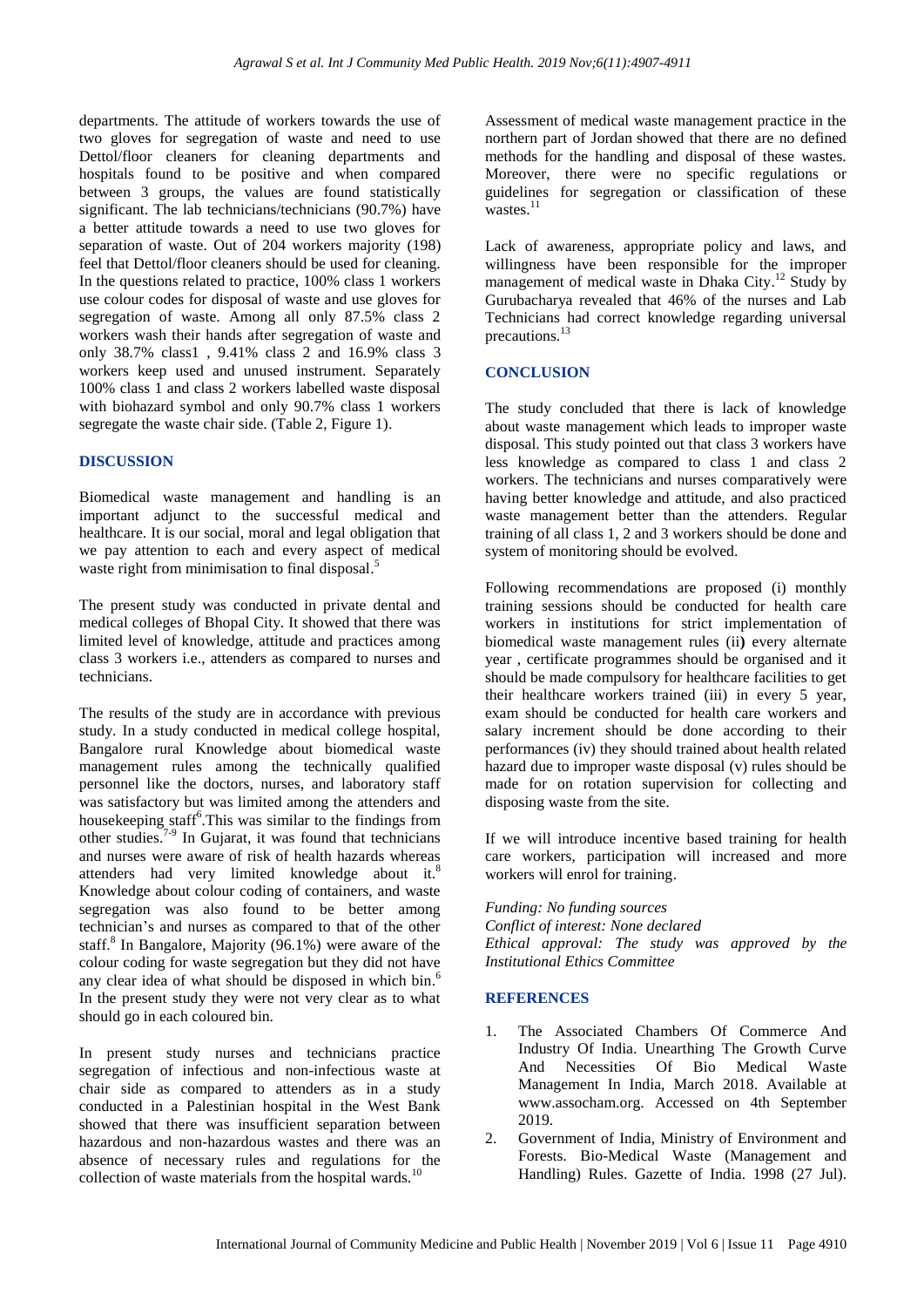departments. The attitude of workers towards the use of two gloves for segregation of waste and need to use Dettol/floor cleaners for cleaning departments and hospitals found to be positive and when compared between 3 groups, the values are found statistically significant. The lab technicians/technicians (90.7%) have a better attitude towards a need to use two gloves for separation of waste. Out of 204 workers majority (198) feel that Dettol/floor cleaners should be used for cleaning. In the questions related to practice, 100% class 1 workers use colour codes for disposal of waste and use gloves for segregation of waste. Among all only 87.5% class 2 workers wash their hands after segregation of waste and only 38.7% class1 , 9.41% class 2 and 16.9% class 3 workers keep used and unused instrument. Separately 100% class 1 and class 2 workers labelled waste disposal with biohazard symbol and only 90.7% class 1 workers segregate the waste chair side. (Table 2, Figure 1).

#### **DISCUSSION**

Biomedical waste management and handling is an important adjunct to the successful medical and healthcare. It is our social, moral and legal obligation that we pay attention to each and every aspect of medical waste right from minimisation to final disposal.<sup>5</sup>

The present study was conducted in private dental and medical colleges of Bhopal City. It showed that there was limited level of knowledge, attitude and practices among class 3 workers i.e., attenders as compared to nurses and technicians.

The results of the study are in accordance with previous study. In a study conducted in medical college hospital, Bangalore rural Knowledge about biomedical waste management rules among the technically qualified personnel like the doctors, nurses, and laboratory staff was satisfactory but was limited among the attenders and housekeeping staff<sup>6</sup>. This was similar to the findings from other studies. 7-9 In Gujarat, it was found that technicians and nurses were aware of risk of health hazards whereas attenders had very limited knowledge about it.<sup>8</sup> Knowledge about colour coding of containers, and waste segregation was also found to be better among technician's and nurses as compared to that of the other staff.<sup>8</sup> In Bangalore, Majority (96.1%) were aware of the colour coding for waste segregation but they did not have any clear idea of what should be disposed in which bin.<sup>6</sup> In the present study they were not very clear as to what should go in each coloured bin.

In present study nurses and technicians practice segregation of infectious and non-infectious waste at chair side as compared to attenders as in a study conducted in a Palestinian hospital in the West Bank showed that there was insufficient separation between hazardous and non-hazardous wastes and there was an absence of necessary rules and regulations for the collection of waste materials from the hospital wards. $10$ 

Assessment of medical waste management practice in the northern part of Jordan showed that there are no defined methods for the handling and disposal of these wastes. Moreover, there were no specific regulations or guidelines for segregation or classification of these wastes. $^{11}$ 

Lack of awareness, appropriate policy and laws, and willingness have been responsible for the improper management of medical waste in Dhaka City.<sup>12</sup> Study by Gurubacharya revealed that 46% of the nurses and Lab Technicians had correct knowledge regarding universal precautions. 13

## **CONCLUSION**

The study concluded that there is lack of knowledge about waste management which leads to improper waste disposal. This study pointed out that class 3 workers have less knowledge as compared to class 1 and class 2 workers. The technicians and nurses comparatively were having better knowledge and attitude, and also practiced waste management better than the attenders. Regular training of all class 1, 2 and 3 workers should be done and system of monitoring should be evolved.

Following recommendations are proposed (i) monthly training sessions should be conducted for health care workers in institutions for strict implementation of biomedical waste management rules (ii**)** every alternate year , certificate programmes should be organised and it should be made compulsory for healthcare facilities to get their healthcare workers trained (iii) in every 5 year, exam should be conducted for health care workers and salary increment should be done according to their performances (iv) they should trained about health related hazard due to improper waste disposal (v) rules should be made for on rotation supervision for collecting and disposing waste from the site.

If we will introduce incentive based training for health care workers, participation will increased and more workers will enrol for training.

*Funding: No funding sources Conflict of interest: None declared Ethical approval: The study was approved by the Institutional Ethics Committee*

#### **REFERENCES**

- 1. The Associated Chambers Of Commerce And Industry Of India. Unearthing The Growth Curve And Necessities Of Bio Medical Waste Management In India, March 2018. Available at www.assocham.org. Accessed on 4th September 2019.
- 2. Government of India, Ministry of Environment and Forests. Bio-Medical Waste (Management and Handling) Rules. Gazette of India. 1998 (27 Jul).